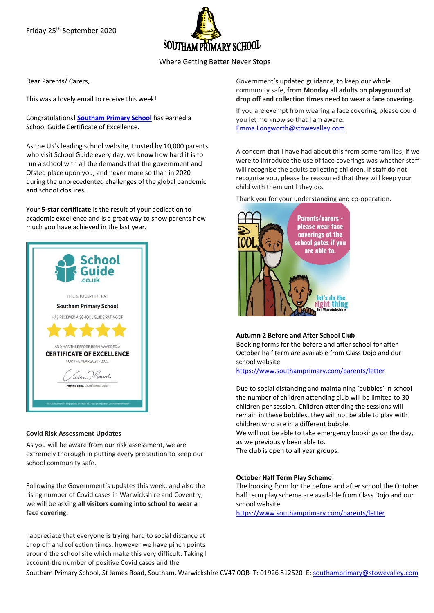Friday 25th September 2020



Where Getting Better Never Stops

Dear Parents/ Carers,

This was a lovely email to receive this week!

Congratulations! **[Southam Primary School](https://linkprotect.cudasvc.com/url?a=https%3a%2f%2fschoolguide.co.uk%2fschools%2fsoutham-primary-school-southam-1%3futm_content%3dtop_school_link%26utm_medium%3demail%26utm_source%3dcertificate_notification&c=E,1,5q-yVPr7UVpX1tsNxEUzKX3-Uqq0NqmpBzO1pKhAkhAFxUxbvFM-DEc8Y-rjXGrsd8VIwHfb9ltfCbV9ovkcQh4onV-mP0pF8Z_MYHZvvDO46_cBjqWZ0c6VRUZr&typo=1)** has earned a School Guide Certificate of Excellence.

As the UK's leading school website, trusted by 10,000 parents who visit School Guide every day, we know how hard it is to run a school with all the demands that the government and Ofsted place upon you, and never more so than in 2020 during the unprecedented challenges of the global pandemic and school closures.

Your **5-star certificate** is the result of your dedication to academic excellence and is a great way to show parents how much you have achieved in the last year.



## **Covid Risk Assessment Updates**

As you will be aware from our risk assessment, we are extremely thorough in putting every precaution to keep our school community safe.

Following the Government's updates this week, and also the rising number of Covid cases in Warwickshire and Coventry, we will be asking **all visitors coming into school to wear a face covering.**

I appreciate that everyone is trying hard to social distance at drop off and collection times, however we have pinch points around the school site which make this very difficult. Taking I account the number of positive Covid cases and the

Government's updated guidance, to keep our whole community safe, **from Monday all adults on playground at drop off and collection times need to wear a face covering.**

If you are exempt from wearing a face covering, please could you let me know so that I am aware. [Emma.Longworth@stowevalley.com](mailto:Emma.Longworth@stowevalley.com)

A concern that I have had about this from some families, if we were to introduce the use of face coverings was whether staff will recognise the adults collecting children. If staff do not recognise you, please be reassured that they will keep your child with them until they do.

Thank you for your understanding and co-operation.



# **Autumn 2 Before and After School Club**

Booking forms for the before and after school for after October half term are available from Class Dojo and our school website.

<https://www.southamprimary.com/parents/letter>

Due to social distancing and maintaining 'bubbles' in school the number of children attending club will be limited to 30 children per session. Children attending the sessions will remain in these bubbles, they will not be able to play with children who are in a different bubble.

We will not be able to take emergency bookings on the day, as we previously been able to.

The club is open to all year groups.

#### **October Half Term Play Scheme**

The booking form for the before and after school the October half term play scheme are available from Class Dojo and our school website.

<https://www.southamprimary.com/parents/letter>

Southam Primary School, St James Road, Southam, Warwickshire CV47 0QB T: 01926 812520 E[: southamprimary@stowevalley.com](mailto:southamprimary@stowevalley.com)